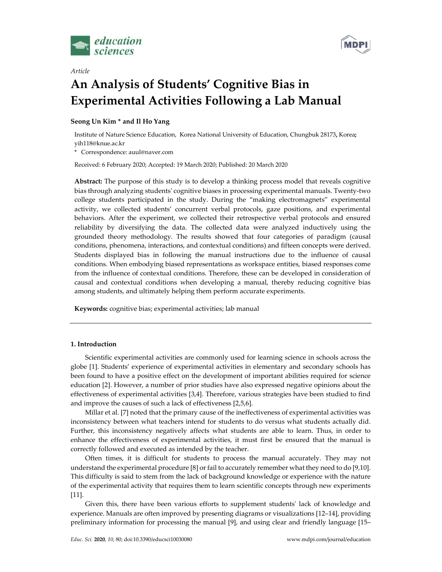

*Article*



# **An Analysis of Students' Cognitive Bias in Experimental Activities Following a Lab Manual**

# **Seong Un Kim \* and Il Ho Yang**

Institute of Nature Science Education, Korea National University of Education, Chungbuk 28173**,** Korea**;** yih118@knue.ac.kr

\* Correspondence: auul@naver.com

Received: 6 February 2020; Accepted: 19 March 2020; Published: 20 March 2020

**Abstract:** The purpose of this study is to develop a thinking process model that reveals cognitive bias through analyzing students' cognitive biases in processing experimental manuals. Twenty-two college students participated in the study. During the "making electromagnets" experimental activity, we collected students' concurrent verbal protocols, gaze positions, and experimental behaviors. After the experiment, we collected their retrospective verbal protocols and ensured reliability by diversifying the data. The collected data were analyzed inductively using the grounded theory methodology. The results showed that four categories of paradigm (causal conditions, phenomena, interactions, and contextual conditions) and fifteen concepts were derived. Students displayed bias in following the manual instructions due to the influence of causal conditions. When embodying biased representations as workspace entities, biased responses come from the influence of contextual conditions. Therefore, these can be developed in consideration of causal and contextual conditions when developing a manual, thereby reducing cognitive bias among students, and ultimately helping them perform accurate experiments.

**Keywords:** cognitive bias; experimental activities; lab manual

# **1. Introduction**

Scientific experimental activities are commonly used for learning science in schools across the globe [1]. Students' experience of experimental activities in elementary and secondary schools has been found to have a positive effect on the development of important abilities required for science education [2]. However, a number of prior studies have also expressed negative opinions about the effectiveness of experimental activities [3,4]. Therefore, various strategies have been studied to find and improve the causes of such a lack of effectiveness [2,5,6].

Millar et al. [7] noted that the primary cause of the ineffectiveness of experimental activities was inconsistency between what teachers intend for students to do versus what students actually did. Further, this inconsistency negatively affects what students are able to learn. Thus, in order to enhance the effectiveness of experimental activities, it must first be ensured that the manual is correctly followed and executed as intended by the teacher.

Often times, it is difficult for students to process the manual accurately. They may not understand the experimental procedure [8] or fail to accurately remember what they need to do [9,10]. This difficulty is said to stem from the lack of background knowledge or experience with the nature of the experimental activity that requires them to learn scientific concepts through new experiments [11].

Given this, there have been various efforts to supplement students' lack of knowledge and experience. Manuals are often improved by presenting diagrams or visualizations [12–14], providing preliminary information for processing the manual [9], and using clear and friendly language [15–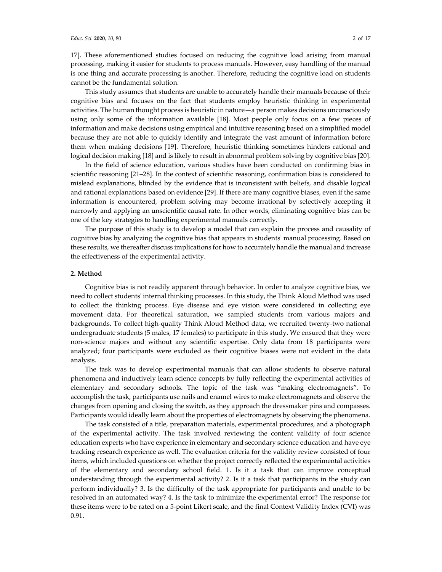17]. These aforementioned studies focused on reducing the cognitive load arising from manual processing, making it easier for students to process manuals. However, easy handling of the manual is one thing and accurate processing is another. Therefore, reducing the cognitive load on students cannot be the fundamental solution.

This study assumes that students are unable to accurately handle their manuals because of their cognitive bias and focuses on the fact that students employ heuristic thinking in experimental activities. The human thought process is heuristic in nature—a person makes decisions unconsciously using only some of the information available [18]. Most people only focus on a few pieces of information and make decisions using empirical and intuitive reasoning based on a simplified model because they are not able to quickly identify and integrate the vast amount of information before them when making decisions [19]. Therefore, heuristic thinking sometimes hinders rational and logical decision making [18] and is likely to result in abnormal problem solving by cognitive bias [20].

In the field of science education, various studies have been conducted on confirming bias in scientific reasoning [21–28]. In the context of scientific reasoning, confirmation bias is considered to mislead explanations, blinded by the evidence that is inconsistent with beliefs, and disable logical and rational explanations based on evidence [29]. If there are many cognitive biases, even if the same information is encountered, problem solving may become irrational by selectively accepting it narrowly and applying an unscientific causal rate. In other words, eliminating cognitive bias can be one of the key strategies to handling experimental manuals correctly.

The purpose of this study is to develop a model that can explain the process and causality of cognitive bias by analyzing the cognitive bias that appears in students' manual processing. Based on these results, we thereafter discuss implications for how to accurately handle the manual and increase the effectiveness of the experimental activity.

#### **2. Method**

Cognitive bias is not readily apparent through behavior. In order to analyze cognitive bias, we need to collect students' internal thinking processes. In this study, the Think Aloud Method was used to collect the thinking process. Eye disease and eye vision were considered in collecting eye movement data. For theoretical saturation, we sampled students from various majors and backgrounds. To collect high-quality Think Aloud Method data, we recruited twenty-two national undergraduate students (5 males, 17 females) to participate in this study. We ensured that they were non-science majors and without any scientific expertise. Only data from 18 participants were analyzed; four participants were excluded as their cognitive biases were not evident in the data analysis.

The task was to develop experimental manuals that can allow students to observe natural phenomena and inductively learn science concepts by fully reflecting the experimental activities of elementary and secondary schools. The topic of the task was "making electromagnets". To accomplish the task, participants use nails and enamel wires to make electromagnets and observe the changes from opening and closing the switch, as they approach the dressmaker pins and compasses. Participants would ideally learn about the properties of electromagnets by observing the phenomena.

The task consisted of a title, preparation materials, experimental procedures, and a photograph of the experimental activity. The task involved reviewing the content validity of four science education experts who have experience in elementary and secondary science education and have eye tracking research experience as well. The evaluation criteria for the validity review consisted of four items, which included questions on whether the project correctly reflected the experimental activities of the elementary and secondary school field. 1. Is it a task that can improve conceptual understanding through the experimental activity? 2. Is it a task that participants in the study can perform individually? 3. Is the difficulty of the task appropriate for participants and unable to be resolved in an automated way? 4. Is the task to minimize the experimental error? The response for these items were to be rated on a 5-point Likert scale, and the final Context Validity Index (CVI) was 0.91.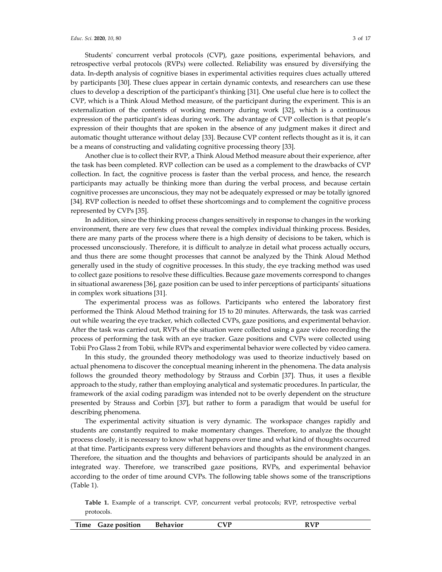Students' concurrent verbal protocols (CVP), gaze positions, experimental behaviors, and retrospective verbal protocols (RVPs) were collected. Reliability was ensured by diversifying the data. In-depth analysis of cognitive biases in experimental activities requires clues actually uttered by participants [30]. These clues appear in certain dynamic contexts, and researchers can use these clues to develop a description of the participant's thinking [31]. One useful clue here is to collect the CVP, which is a Think Aloud Method measure, of the participant during the experiment. This is an externalization of the contents of working memory during work [32], which is a continuous expression of the participant's ideas during work. The advantage of CVP collection is that people's expression of their thoughts that are spoken in the absence of any judgment makes it direct and

be a means of constructing and validating cognitive processing theory [33]. Another clue is to collect their RVP, a Think Aloud Method measure about their experience, after the task has been completed. RVP collection can be used as a complement to the drawbacks of CVP collection. In fact, the cognitive process is faster than the verbal process, and hence, the research participants may actually be thinking more than during the verbal process, and because certain cognitive processes are unconscious, they may not be adequately expressed or may be totally ignored [34]. RVP collection is needed to offset these shortcomings and to complement the cognitive process represented by CVPs [35].

automatic thought utterance without delay [33]. Because CVP content reflects thought as it is, it can

In addition, since the thinking process changes sensitively in response to changes in the working environment, there are very few clues that reveal the complex individual thinking process. Besides, there are many parts of the process where there is a high density of decisions to be taken, which is processed unconsciously. Therefore, it is difficult to analyze in detail what process actually occurs, and thus there are some thought processes that cannot be analyzed by the Think Aloud Method generally used in the study of cognitive processes. In this study, the eye tracking method was used to collect gaze positions to resolve these difficulties. Because gaze movements correspond to changes in situational awareness [36], gaze position can be used to infer perceptions of participants' situations in complex work situations [31].

The experimental process was as follows. Participants who entered the laboratory first performed the Think Aloud Method training for 15 to 20 minutes. Afterwards, the task was carried out while wearing the eye tracker, which collected CVPs, gaze positions, and experimental behavior. After the task was carried out, RVPs of the situation were collected using a gaze video recording the process of performing the task with an eye tracker. Gaze positions and CVPs were collected using Tobii Pro Glass 2 from Tobii, while RVPs and experimental behavior were collected by video camera.

In this study, the grounded theory methodology was used to theorize inductively based on actual phenomena to discover the conceptual meaning inherent in the phenomena. The data analysis follows the grounded theory methodology by Strauss and Corbin [37]. Thus, it uses a flexible approach to the study, rather than employing analytical and systematic procedures. In particular, the framework of the axial coding paradigm was intended not to be overly dependent on the structure presented by Strauss and Corbin [37], but rather to form a paradigm that would be useful for describing phenomena.

The experimental activity situation is very dynamic. The workspace changes rapidly and students are constantly required to make momentary changes. Therefore, to analyze the thought process closely, it is necessary to know what happens over time and what kind of thoughts occurred at that time. Participants express very different behaviors and thoughts as the environment changes. Therefore, the situation and the thoughts and behaviors of participants should be analyzed in an integrated way. Therefore, we transcribed gaze positions, RVPs, and experimental behavior according to the order of time around CVPs. The following table shows some of the transcriptions (Table 1).

**Table 1.** Example of a transcript. CVP, concurrent verbal protocols; RVP, retrospective verbal protocols.

| Behavior<br><b>Gaze position</b><br><b>Time</b> | ם זר<br>DVD<br>n |
|-------------------------------------------------|------------------|
|-------------------------------------------------|------------------|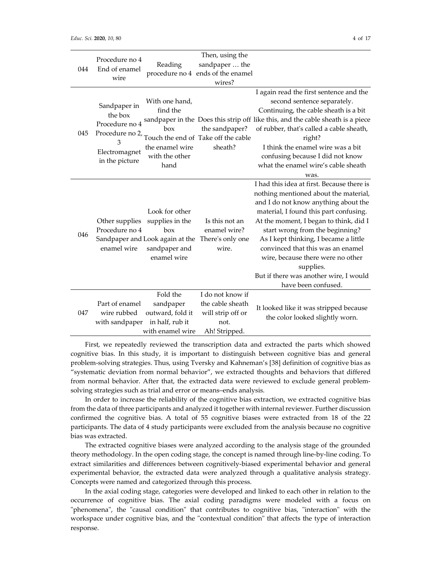| 044 | Procedure no 4<br>End of enamel<br>wire                                                              | Reading                                                                                                     | Then, using the<br>sandpaper  the<br>procedure no 4 ends of the enamel<br>wires?   |                                                                                                                                                                                                                                                                                                                                                                                                                                                     |
|-----|------------------------------------------------------------------------------------------------------|-------------------------------------------------------------------------------------------------------------|------------------------------------------------------------------------------------|-----------------------------------------------------------------------------------------------------------------------------------------------------------------------------------------------------------------------------------------------------------------------------------------------------------------------------------------------------------------------------------------------------------------------------------------------------|
| 045 | Sandpaper in<br>the box<br>Procedure no 4<br>Procedure no 2,<br>3<br>Electromagnet<br>in the picture | With one hand,<br>find the<br>box<br>the enamel wire<br>with the other<br>hand                              | the sandpaper?<br>Touch the end of Take off the cable<br>sheath?                   | I again read the first sentence and the<br>second sentence separately.<br>Continuing, the cable sheath is a bit<br>sandpaper in the Does this strip off like this, and the cable sheath is a piece<br>of rubber, that's called a cable sheath,<br>right?<br>I think the enamel wire was a bit<br>confusing because I did not know<br>what the enamel wire's cable sheath<br>was.                                                                    |
| 046 | Other supplies<br>Procedure no 4<br>enamel wire                                                      | Look for other<br>supplies in the<br>box<br>Sandpaper and Look again at the<br>sandpaper and<br>enamel wire | Is this not an<br>enamel wire?<br>There's only one<br>wire.                        | I had this idea at first. Because there is<br>nothing mentioned about the material,<br>and I do not know anything about the<br>material, I found this part confusing.<br>At the moment, I began to think, did I<br>start wrong from the beginning?<br>As I kept thinking, I became a little<br>convinced that this was an enamel<br>wire, because there were no other<br>supplies.<br>But if there was another wire, I would<br>have been confused. |
| 047 | Part of enamel<br>wire rubbed<br>with sandpaper                                                      | Fold the<br>sandpaper<br>outward, fold it<br>in half, rub it<br>with enamel wire                            | I do not know if<br>the cable sheath<br>will strip off or<br>not.<br>Ah! Stripped. | It looked like it was stripped because<br>the color looked slightly worn.                                                                                                                                                                                                                                                                                                                                                                           |

First, we repeatedly reviewed the transcription data and extracted the parts which showed cognitive bias. In this study, it is important to distinguish between cognitive bias and general problem-solving strategies. Thus, using Tversky and Kahneman's [38] definition of cognitive bias as "systematic deviation from normal behavior", we extracted thoughts and behaviors that differed from normal behavior. After that, the extracted data were reviewed to exclude general problemsolving strategies such as trial and error or means–ends analysis.

In order to increase the reliability of the cognitive bias extraction, we extracted cognitive bias from the data of three participants and analyzed it together with internal reviewer. Further discussion confirmed the cognitive bias. A total of 55 cognitive biases were extracted from 18 of the 22 participants. The data of 4 study participants were excluded from the analysis because no cognitive bias was extracted.

The extracted cognitive biases were analyzed according to the analysis stage of the grounded theory methodology. In the open coding stage, the concept is named through line-by-line coding. To extract similarities and differences between cognitively-biased experimental behavior and general experimental behavior, the extracted data were analyzed through a qualitative analysis strategy. Concepts were named and categorized through this process.

In the axial coding stage, categories were developed and linked to each other in relation to the occurrence of cognitive bias. The axial coding paradigms were modeled with a focus on "phenomena", the "causal condition" that contributes to cognitive bias, "interaction" with the workspace under cognitive bias, and the "contextual condition" that affects the type of interaction response.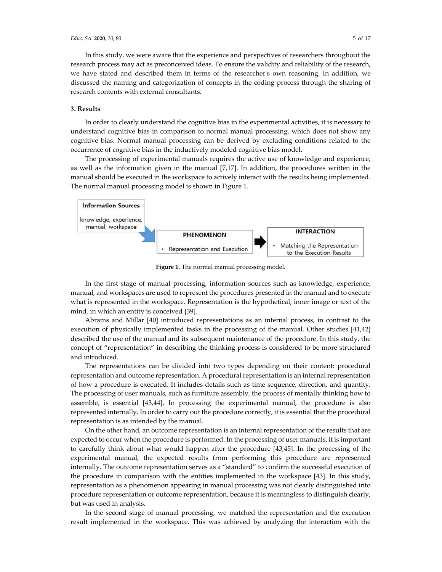In this study, we were aware that the experience and perspectives of researchers throughout the research process may act as preconceived ideas. To ensure the validity and reliability of the research, we have stated and described them in terms of the researcher's own reasoning. In addition, we discussed the naming and categorization of concepts in the coding process through the sharing of research contents with external consultants.

## **3. Results**

In order to clearly understand the cognitive bias in the experimental activities, it is necessary to understand cognitive bias in comparison to normal manual processing, which does not show any cognitive bias. Normal manual processing can be derived by excluding conditions related to the occurrence of cognitive bias in the inductively modeled cognitive bias model.

The processing of experimental manuals requires the active use of knowledge and experience, as well as the information given in the manual [7,17]. In addition, the procedures written in the manual should be executed in the workspace to actively interact with the results being implemented. The normal manual processing model is shown in Figure 1.



**Figure 1.** The normal manual processing model.

In the first stage of manual processing, information sources such as knowledge, experience, manual, and workspaces are used to represent the procedures presented in the manual and to execute what is represented in the workspace. Representation is the hypothetical, inner image or text of the mind, in which an entity is conceived [39].

Abrams and Millar [40] introduced representations as an internal process, in contrast to the execution of physically implemented tasks in the processing of the manual. Other studies [41,42] described the use of the manual and its subsequent maintenance of the procedure. In this study, the concept of "representation" in describing the thinking process is considered to be more structured and introduced.

The representations can be divided into two types depending on their content: procedural representation and outcome representation. A procedural representation is an internal representation of how a procedure is executed. It includes details such as time sequence, direction, and quantity. The processing of user manuals, such as furniture assembly, the process of mentally thinking how to assemble, is essential [43,44]. In processing the experimental manual, the procedure is also represented internally. In order to carry out the procedure correctly, it is essential that the procedural representation is as intended by the manual.

On the other hand, an outcome representation is an internal representation of the results that are expected to occur when the procedure is performed. In the processing of user manuals, it is important to carefully think about what would happen after the procedure [43,45]. In the processing of the experimental manual, the expected results from performing this procedure are represented internally. The outcome representation serves as a "standard" to confirm the successful execution of the procedure in comparison with the entities implemented in the workspace [43]. In this study, representation as a phenomenon appearing in manual processing was not clearly distinguished into procedure representation or outcome representation, because it is meaningless to distinguish clearly, but was used in analysis.

In the second stage of manual processing, we matched the representation and the execution result implemented in the workspace. This was achieved by analyzing the interaction with the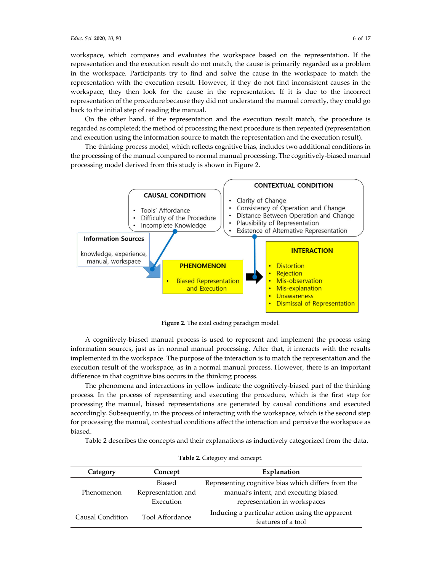back to the initial step of reading the manual.

workspace, which compares and evaluates the workspace based on the representation. If the representation and the execution result do not match, the cause is primarily regarded as a problem in the workspace. Participants try to find and solve the cause in the workspace to match the representation with the execution result. However, if they do not find inconsistent causes in the workspace, they then look for the cause in the representation. If it is due to the incorrect representation of the procedure because they did not understand the manual correctly, they could go

On the other hand, if the representation and the execution result match, the procedure is regarded as completed; the method of processing the next procedure is then repeated (representation and execution using the information source to match the representation and the execution result).

The thinking process model, which reflects cognitive bias, includes two additional conditions in the processing of the manual compared to normal manual processing. The cognitively-biased manual processing model derived from this study is shown in Figure 2.



**Figure 2.** The axial coding paradigm model.

A cognitively-biased manual process is used to represent and implement the process using information sources, just as in normal manual processing. After that, it interacts with the results implemented in the workspace. The purpose of the interaction is to match the representation and the execution result of the workspace, as in a normal manual process. However, there is an important difference in that cognitive bias occurs in the thinking process.

The phenomena and interactions in yellow indicate the cognitively-biased part of the thinking process. In the process of representing and executing the procedure, which is the first step for processing the manual, biased representations are generated by causal conditions and executed accordingly. Subsequently, in the process of interacting with the workspace, which is the second step for processing the manual, contextual conditions affect the interaction and perceive the workspace as biased.

Table 2 describes the concepts and their explanations as inductively categorized from the data.

| Category         | Concept                | Explanation                                        |  |  |
|------------------|------------------------|----------------------------------------------------|--|--|
|                  | Biased                 | Representing cognitive bias which differs from the |  |  |
| Phenomenon       | Representation and     | manual's intent, and executing biased              |  |  |
|                  | Execution              | representation in workspaces                       |  |  |
| Causal Condition | <b>Tool Affordance</b> | Inducing a particular action using the apparent    |  |  |
|                  |                        | features of a tool                                 |  |  |

|  | Table 2. Category and concept. |  |  |
|--|--------------------------------|--|--|
|--|--------------------------------|--|--|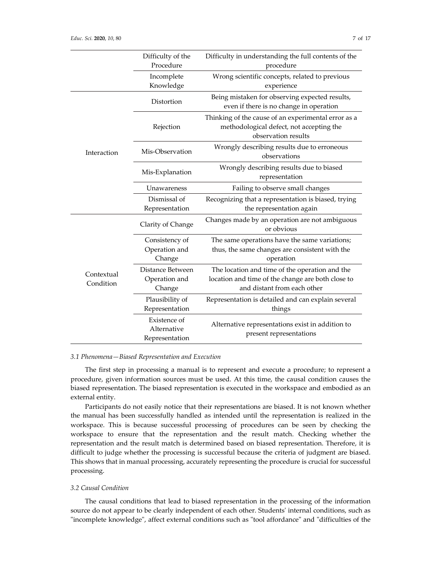|                         | Difficulty of the<br>Procedure                | Difficulty in understanding the full contents of the<br>procedure                                                                  |  |  |
|-------------------------|-----------------------------------------------|------------------------------------------------------------------------------------------------------------------------------------|--|--|
|                         | Incomplete<br>Knowledge                       | Wrong scientific concepts, related to previous<br>experience                                                                       |  |  |
|                         | Distortion                                    | Being mistaken for observing expected results,<br>even if there is no change in operation                                          |  |  |
|                         | Rejection                                     | Thinking of the cause of an experimental error as a<br>methodological defect, not accepting the<br>observation results             |  |  |
| Interaction             | Mis-Observation                               | Wrongly describing results due to erroneous<br>observations                                                                        |  |  |
|                         | Mis-Explanation                               | Wrongly describing results due to biased<br>representation                                                                         |  |  |
|                         | Unawareness                                   | Failing to observe small changes                                                                                                   |  |  |
|                         | Dismissal of<br>Representation                | Recognizing that a representation is biased, trying<br>the representation again                                                    |  |  |
|                         | Clarity of Change                             | Changes made by an operation are not ambiguous<br>or obvious                                                                       |  |  |
|                         | Consistency of<br>Operation and<br>Change     | The same operations have the same variations;<br>thus, the same changes are consistent with the<br>operation                       |  |  |
| Contextual<br>Condition | Distance Between<br>Operation and<br>Change   | The location and time of the operation and the<br>location and time of the change are both close to<br>and distant from each other |  |  |
|                         | Plausibility of<br>Representation             | Representation is detailed and can explain several<br>things                                                                       |  |  |
|                         | Existence of<br>Alternative<br>Representation | Alternative representations exist in addition to<br>present representations                                                        |  |  |

## *3.1 Phenomena—Biased Representation and Execution*

The first step in processing a manual is to represent and execute a procedure; to represent a procedure, given information sources must be used. At this time, the causal condition causes the biased representation. The biased representation is executed in the workspace and embodied as an external entity.

Participants do not easily notice that their representations are biased. It is not known whether the manual has been successfully handled as intended until the representation is realized in the workspace. This is because successful processing of procedures can be seen by checking the workspace to ensure that the representation and the result match. Checking whether the representation and the result match is determined based on biased representation. Therefore, it is difficult to judge whether the processing is successful because the criteria of judgment are biased. This shows that in manual processing, accurately representing the procedure is crucial for successful processing.

## *3.2 Causal Condition*

The causal conditions that lead to biased representation in the processing of the information source do not appear to be clearly independent of each other. Students' internal conditions, such as "incomplete knowledge", affect external conditions such as "tool affordance" and "difficulties of the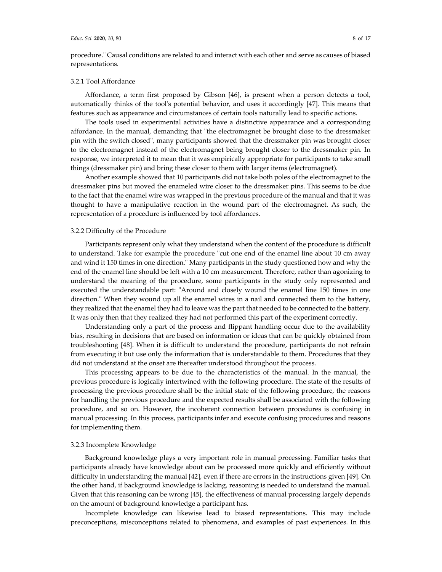procedure." Causal conditions are related to and interact with each other and serve as causes of biased representations.

#### 3.2.1 Tool Affordance

Affordance, a term first proposed by Gibson [46], is present when a person detects a tool, automatically thinks of the tool's potential behavior, and uses it accordingly [47]. This means that features such as appearance and circumstances of certain tools naturally lead to specific actions.

The tools used in experimental activities have a distinctive appearance and a corresponding affordance. In the manual, demanding that "the electromagnet be brought close to the dressmaker pin with the switch closed", many participants showed that the dressmaker pin was brought closer to the electromagnet instead of the electromagnet being brought closer to the dressmaker pin. In response, we interpreted it to mean that it was empirically appropriate for participants to take small things (dressmaker pin) and bring these closer to them with larger items (electromagnet).

Another example showed that 10 participants did not take both poles of the electromagnet to the dressmaker pins but moved the enameled wire closer to the dressmaker pins. This seems to be due to the fact that the enamel wire was wrapped in the previous procedure of the manual and that it was thought to have a manipulative reaction in the wound part of the electromagnet. As such, the representation of a procedure is influenced by tool affordances.

## 3.2.2 Difficulty of the Procedure

Participants represent only what they understand when the content of the procedure is difficult to understand. Take for example the procedure "cut one end of the enamel line about 10 cm away and wind it 150 times in one direction." Many participants in the study questioned how and why the end of the enamel line should be left with a 10 cm measurement. Therefore, rather than agonizing to understand the meaning of the procedure, some participants in the study only represented and executed the understandable part: "Around and closely wound the enamel line 150 times in one direction." When they wound up all the enamel wires in a nail and connected them to the battery, they realized that the enamel they had to leave was the part that needed to be connected to the battery. It was only then that they realized they had not performed this part of the experiment correctly.

Understanding only a part of the process and flippant handling occur due to the availability bias, resulting in decisions that are based on information or ideas that can be quickly obtained from troubleshooting [48]. When it is difficult to understand the procedure, participants do not refrain from executing it but use only the information that is understandable to them. Procedures that they did not understand at the onset are thereafter understood throughout the process.

This processing appears to be due to the characteristics of the manual. In the manual, the previous procedure is logically intertwined with the following procedure. The state of the results of processing the previous procedure shall be the initial state of the following procedure, the reasons for handling the previous procedure and the expected results shall be associated with the following procedure, and so on. However, the incoherent connection between procedures is confusing in manual processing. In this process, participants infer and execute confusing procedures and reasons for implementing them.

## 3.2.3 Incomplete Knowledge

Background knowledge plays a very important role in manual processing. Familiar tasks that participants already have knowledge about can be processed more quickly and efficiently without difficulty in understanding the manual [42], even if there are errors in the instructions given [49]. On the other hand, if background knowledge is lacking, reasoning is needed to understand the manual. Given that this reasoning can be wrong [45], the effectiveness of manual processing largely depends on the amount of background knowledge a participant has.

Incomplete knowledge can likewise lead to biased representations. This may include preconceptions, misconceptions related to phenomena, and examples of past experiences. In this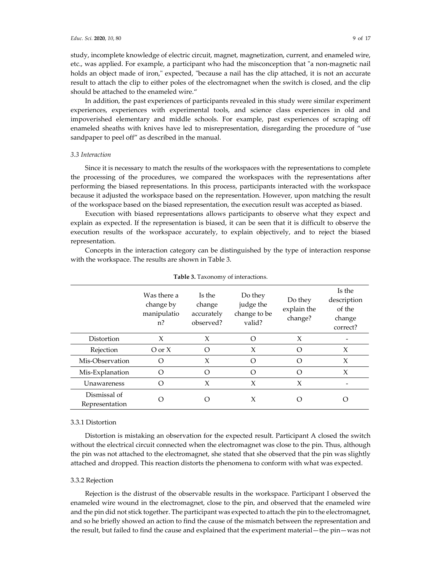study, incomplete knowledge of electric circuit, magnet, magnetization, current, and enameled wire, etc., was applied. For example, a participant who had the misconception that "a non-magnetic nail holds an object made of iron," expected, "because a nail has the clip attached, it is not an accurate result to attach the clip to either poles of the electromagnet when the switch is closed, and the clip should be attached to the enameled wire."

In addition, the past experiences of participants revealed in this study were similar experiment experiences, experiences with experimental tools, and science class experiences in old and impoverished elementary and middle schools. For example, past experiences of scraping off enameled sheaths with knives have led to misrepresentation, disregarding the procedure of "use sandpaper to peel off" as described in the manual.

## *3.3 Interaction*

Since it is necessary to match the results of the workspaces with the representations to complete the processing of the procedures, we compared the workspaces with the representations after performing the biased representations. In this process, participants interacted with the workspace because it adjusted the workspace based on the representation. However, upon matching the result of the workspace based on the biased representation, the execution result was accepted as biased.

Execution with biased representations allows participants to observe what they expect and explain as expected. If the representation is biased, it can be seen that it is difficult to observe the execution results of the workspace accurately, to explain objectively, and to reject the biased representation.

Concepts in the interaction category can be distinguished by the type of interaction response with the workspace. The results are shown in Table 3.

|                                | Was there a<br>change by<br>manipulatio<br>$n$ ? | Is the<br>change<br>accurately<br>observed? | Do they<br>judge the<br>change to be<br>valid? | Do they<br>explain the<br>change? | Is the<br>description<br>of the<br>change<br>correct? |
|--------------------------------|--------------------------------------------------|---------------------------------------------|------------------------------------------------|-----------------------------------|-------------------------------------------------------|
| Distortion                     | X                                                | X                                           | Ω                                              | X                                 |                                                       |
| Rejection                      | $O \text{ or } X$                                | O                                           | X                                              | $\left( \right)$                  | X                                                     |
| Mis-Observation                | Ω                                                | X                                           | Ω                                              | ∩                                 | X                                                     |
| Mis-Explanation                | $\Omega$                                         | Ω                                           | Ω                                              | ∩                                 | X                                                     |
| Unawareness                    | $\Omega$                                         | X                                           | X                                              | X                                 |                                                       |
| Dismissal of<br>Representation | ∩                                                |                                             | X                                              |                                   |                                                       |

**Table 3.** Taxonomy of interactions.

## 3.3.1 Distortion

Distortion is mistaking an observation for the expected result. Participant A closed the switch without the electrical circuit connected when the electromagnet was close to the pin. Thus, although the pin was not attached to the electromagnet, she stated that she observed that the pin was slightly attached and dropped. This reaction distorts the phenomena to conform with what was expected.

## 3.3.2 Rejection

Rejection is the distrust of the observable results in the workspace. Participant I observed the enameled wire wound in the electromagnet, close to the pin, and observed that the enameled wire and the pin did not stick together. The participant was expected to attach the pin to the electromagnet, and so he briefly showed an action to find the cause of the mismatch between the representation and the result, but failed to find the cause and explained that the experiment material—the pin—was not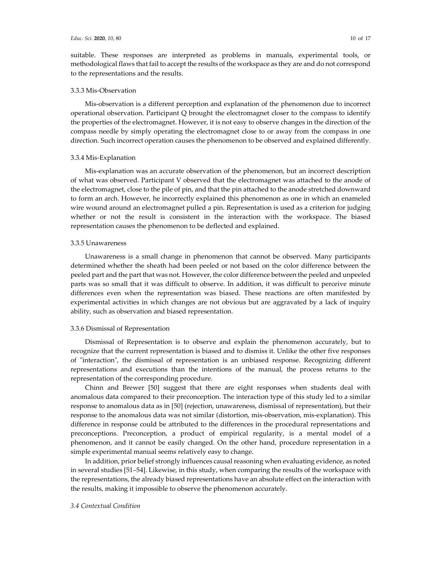suitable. These responses are interpreted as problems in manuals, experimental tools, or methodological flaws that fail to accept the results of the workspace as they are and do not correspond to the representations and the results.

## 3.3.3 Mis-Observation

Mis-observation is a different perception and explanation of the phenomenon due to incorrect operational observation. Participant Q brought the electromagnet closer to the compass to identify the properties of the electromagnet. However, it is not easy to observe changes in the direction of the compass needle by simply operating the electromagnet close to or away from the compass in one direction. Such incorrect operation causes the phenomenon to be observed and explained differently.

#### 3.3.4 Mis-Explanation

Mis-explanation was an accurate observation of the phenomenon, but an incorrect description of what was observed. Participant V observed that the electromagnet was attached to the anode of the electromagnet, close to the pile of pin, and that the pin attached to the anode stretched downward to form an arch. However, he incorrectly explained this phenomenon as one in which an enameled wire wound around an electromagnet pulled a pin. Representation is used as a criterion for judging whether or not the result is consistent in the interaction with the workspace. The biased representation causes the phenomenon to be deflected and explained.

#### 3.3.5 Unawareness

Unawareness is a small change in phenomenon that cannot be observed. Many participants determined whether the sheath had been peeled or not based on the color difference between the peeled part and the part that was not. However, the color difference between the peeled and unpeeled parts was so small that it was difficult to observe. In addition, it was difficult to perceive minute differences even when the representation was biased. These reactions are often manifested by experimental activities in which changes are not obvious but are aggravated by a lack of inquiry ability, such as observation and biased representation.

## 3.3.6 Dismissal of Representation

Dismissal of Representation is to observe and explain the phenomenon accurately, but to recognize that the current representation is biased and to dismiss it. Unlike the other five responses of "interaction", the dismissal of representation is an unbiased response. Recognizing different representations and executions than the intentions of the manual, the process returns to the representation of the corresponding procedure.

Chinn and Brewer [50] suggest that there are eight responses when students deal with anomalous data compared to their preconception. The interaction type of this study led to a similar response to anomalous data as in [50] (rejection, unawareness, dismissal of representation), but their response to the anomalous data was not similar (distortion, mis-observation, mis-explanation). This difference in response could be attributed to the differences in the procedural representations and preconceptions. Preconception, a product of empirical regularity, is a mental model of a phenomenon, and it cannot be easily changed. On the other hand, procedure representation in a simple experimental manual seems relatively easy to change.

In addition, prior belief strongly influences causal reasoning when evaluating evidence, as noted in several studies [51–54]. Likewise, in this study, when comparing the results of the workspace with the representations, the already biased representations have an absolute effect on the interaction with the results, making it impossible to observe the phenomenon accurately.

## *3.4 Contextual Condition*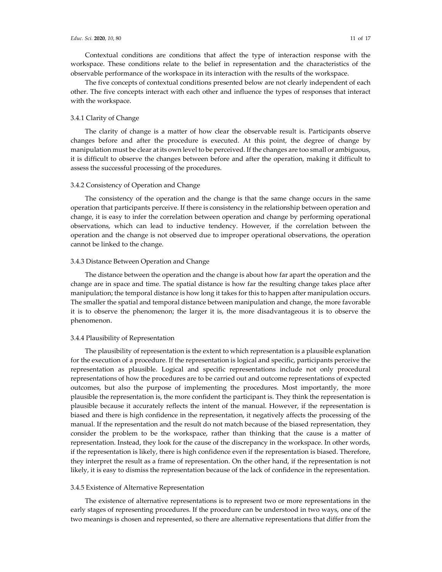Contextual conditions are conditions that affect the type of interaction response with the workspace. These conditions relate to the belief in representation and the characteristics of the observable performance of the workspace in its interaction with the results of the workspace.

The five concepts of contextual conditions presented below are not clearly independent of each other. The five concepts interact with each other and influence the types of responses that interact with the workspace.

## 3.4.1 Clarity of Change

The clarity of change is a matter of how clear the observable result is. Participants observe changes before and after the procedure is executed. At this point, the degree of change by manipulation must be clear at its own level to be perceived. If the changes are too small or ambiguous, it is difficult to observe the changes between before and after the operation, making it difficult to assess the successful processing of the procedures.

#### 3.4.2 Consistency of Operation and Change

The consistency of the operation and the change is that the same change occurs in the same operation that participants perceive. If there is consistency in the relationship between operation and change, it is easy to infer the correlation between operation and change by performing operational observations, which can lead to inductive tendency. However, if the correlation between the operation and the change is not observed due to improper operational observations, the operation cannot be linked to the change.

## 3.4.3 Distance Between Operation and Change

The distance between the operation and the change is about how far apart the operation and the change are in space and time. The spatial distance is how far the resulting change takes place after manipulation; the temporal distance is how long it takes for this to happen after manipulation occurs. The smaller the spatial and temporal distance between manipulation and change, the more favorable it is to observe the phenomenon; the larger it is, the more disadvantageous it is to observe the phenomenon.

## 3.4.4 Plausibility of Representation

The plausibility of representation is the extent to which representation is a plausible explanation for the execution of a procedure. If the representation is logical and specific, participants perceive the representation as plausible. Logical and specific representations include not only procedural representations of how the procedures are to be carried out and outcome representations of expected outcomes, but also the purpose of implementing the procedures. Most importantly, the more plausible the representation is, the more confident the participant is. They think the representation is plausible because it accurately reflects the intent of the manual. However, if the representation is biased and there is high confidence in the representation, it negatively affects the processing of the manual. If the representation and the result do not match because of the biased representation, they consider the problem to be the workspace, rather than thinking that the cause is a matter of representation. Instead, they look for the cause of the discrepancy in the workspace. In other words, if the representation is likely, there is high confidence even if the representation is biased. Therefore, they interpret the result as a frame of representation. On the other hand, if the representation is not likely, it is easy to dismiss the representation because of the lack of confidence in the representation.

#### 3.4.5 Existence of Alternative Representation

The existence of alternative representations is to represent two or more representations in the early stages of representing procedures. If the procedure can be understood in two ways, one of the two meanings is chosen and represented, so there are alternative representations that differ from the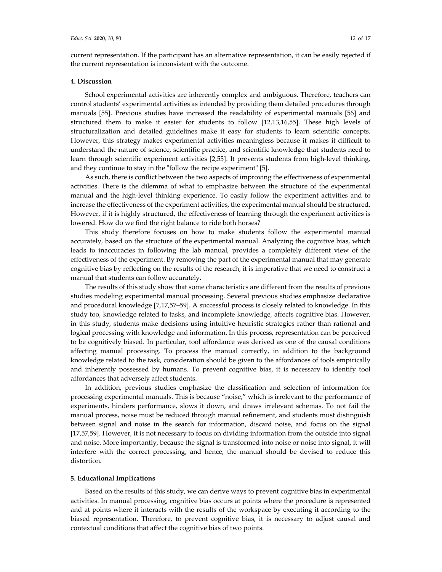current representation. If the participant has an alternative representation, it can be easily rejected if the current representation is inconsistent with the outcome.

#### **4. Discussion**

School experimental activities are inherently complex and ambiguous. Therefore, teachers can control students' experimental activities as intended by providing them detailed procedures through manuals [55]. Previous studies have increased the readability of experimental manuals [56] and structured them to make it easier for students to follow [12,13,16,55]. These high levels of structuralization and detailed guidelines make it easy for students to learn scientific concepts. However, this strategy makes experimental activities meaningless because it makes it difficult to understand the nature of science, scientific practice, and scientific knowledge that students need to learn through scientific experiment activities [2,55]. It prevents students from high-level thinking, and they continue to stay in the "follow the recipe experiment" [5].

As such, there is conflict between the two aspects of improving the effectiveness of experimental activities. There is the dilemma of what to emphasize between the structure of the experimental manual and the high-level thinking experience. To easily follow the experiment activities and to increase the effectiveness of the experiment activities, the experimental manual should be structured. However, if it is highly structured, the effectiveness of learning through the experiment activities is lowered. How do we find the right balance to ride both horses?

This study therefore focuses on how to make students follow the experimental manual accurately, based on the structure of the experimental manual. Analyzing the cognitive bias, which leads to inaccuracies in following the lab manual, provides a completely different view of the effectiveness of the experiment. By removing the part of the experimental manual that may generate cognitive bias by reflecting on the results of the research, it is imperative that we need to construct a manual that students can follow accurately.

The results of this study show that some characteristics are different from the results of previous studies modeling experimental manual processing. Several previous studies emphasize declarative and procedural knowledge [7,17,57–59]. A successful process is closely related to knowledge. In this study too, knowledge related to tasks, and incomplete knowledge, affects cognitive bias. However, in this study, students make decisions using intuitive heuristic strategies rather than rational and logical processing with knowledge and information. In this process, representation can be perceived to be cognitively biased. In particular, tool affordance was derived as one of the causal conditions affecting manual processing. To process the manual correctly, in addition to the background knowledge related to the task, consideration should be given to the affordances of tools empirically and inherently possessed by humans. To prevent cognitive bias, it is necessary to identify tool affordances that adversely affect students.

In addition, previous studies emphasize the classification and selection of information for processing experimental manuals. This is because "noise," which is irrelevant to the performance of experiments, hinders performance, slows it down, and draws irrelevant schemas. To not fail the manual process, noise must be reduced through manual refinement, and students must distinguish between signal and noise in the search for information, discard noise, and focus on the signal [17,57,59]. However, it is not necessary to focus on dividing information from the outside into signal and noise. More importantly, because the signal is transformed into noise or noise into signal, it will interfere with the correct processing, and hence, the manual should be devised to reduce this distortion.

#### **5. Educational Implications**

Based on the results of this study, we can derive ways to prevent cognitive bias in experimental activities. In manual processing, cognitive bias occurs at points where the procedure is represented and at points where it interacts with the results of the workspace by executing it according to the biased representation. Therefore, to prevent cognitive bias, it is necessary to adjust causal and contextual conditions that affect the cognitive bias of two points.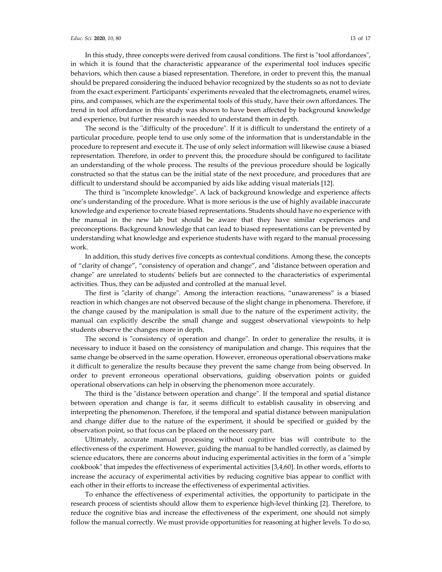In this study, three concepts were derived from causal conditions. The first is "tool affordances", in which it is found that the characteristic appearance of the experimental tool induces specific behaviors, which then cause a biased representation. Therefore, in order to prevent this, the manual should be prepared considering the induced behavior recognized by the students so as not to deviate from the exact experiment. Participants' experiments revealed that the electromagnets, enamel wires, pins, and compasses, which are the experimental tools of this study, have their own affordances. The trend in tool affordance in this study was shown to have been affected by background knowledge and experience, but further research is needed to understand them in depth.

The second is the "difficulty of the procedure". If it is difficult to understand the entirety of a particular procedure, people tend to use only some of the information that is understandable in the procedure to represent and execute it. The use of only select information will likewise cause a biased representation. Therefore, in order to prevent this, the procedure should be configured to facilitate an understanding of the whole process. The results of the previous procedure should be logically constructed so that the status can be the initial state of the next procedure, and procedures that are difficult to understand should be accompanied by aids like adding visual materials [12].

The third is "incomplete knowledge". A lack of background knowledge and experience affects one's understanding of the procedure. What is more serious is the use of highly available inaccurate knowledge and experience to create biased representations. Students should have no experience with the manual in the new lab but should be aware that they have similar experiences and preconceptions. Background knowledge that can lead to biased representations can be prevented by understanding what knowledge and experience students have with regard to the manual processing work.

In addition, this study derives five concepts as contextual conditions. Among these, the concepts of "clarity of change", "consistency of operation and change", and "distance between operation and change" are unrelated to students' beliefs but are connected to the characteristics of experimental activities. Thus, they can be adjusted and controlled at the manual level.

The first is "clarity of change". Among the interaction reactions, "unawareness" is a biased reaction in which changes are not observed because of the slight change in phenomena. Therefore, if the change caused by the manipulation is small due to the nature of the experiment activity, the manual can explicitly describe the small change and suggest observational viewpoints to help students observe the changes more in depth.

The second is "consistency of operation and change". In order to generalize the results, it is necessary to induce it based on the consistency of manipulation and change. This requires that the same change be observed in the same operation. However, erroneous operational observations make it difficult to generalize the results because they prevent the same change from being observed. In order to prevent erroneous operational observations, guiding observation points or guided operational observations can help in observing the phenomenon more accurately.

The third is the "distance between operation and change". If the temporal and spatial distance between operation and change is far, it seems difficult to establish causality in observing and interpreting the phenomenon. Therefore, if the temporal and spatial distance between manipulation and change differ due to the nature of the experiment, it should be specified or guided by the observation point, so that focus can be placed on the necessary part.

Ultimately, accurate manual processing without cognitive bias will contribute to the effectiveness of the experiment. However, guiding the manual to be handled correctly, as claimed by science educators, there are concerns about inducing experimental activities in the form of a "simple cookbook" that impedes the effectiveness of experimental activities [3,4,60]. In other words, efforts to increase the accuracy of experimental activities by reducing cognitive bias appear to conflict with each other in their efforts to increase the effectiveness of experimental activities.

To enhance the effectiveness of experimental activities, the opportunity to participate in the research process of scientists should allow them to experience high-level thinking [2]. Therefore, to reduce the cognitive bias and increase the effectiveness of the experiment, one should not simply follow the manual correctly. We must provide opportunities for reasoning at higher levels. To do so,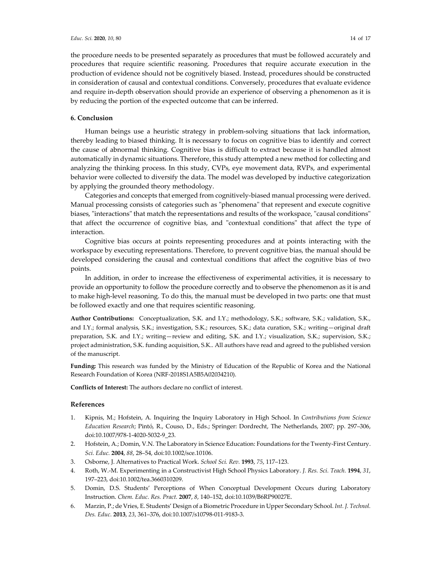the procedure needs to be presented separately as procedures that must be followed accurately and procedures that require scientific reasoning. Procedures that require accurate execution in the production of evidence should not be cognitively biased. Instead, procedures should be constructed in consideration of causal and contextual conditions. Conversely, procedures that evaluate evidence and require in-depth observation should provide an experience of observing a phenomenon as it is by reducing the portion of the expected outcome that can be inferred.

## **6. Conclusion**

Human beings use a heuristic strategy in problem-solving situations that lack information, thereby leading to biased thinking. It is necessary to focus on cognitive bias to identify and correct the cause of abnormal thinking. Cognitive bias is difficult to extract because it is handled almost automatically in dynamic situations. Therefore, this study attempted a new method for collecting and analyzing the thinking process. In this study, CVPs, eye movement data, RVPs, and experimental behavior were collected to diversify the data. The model was developed by inductive categorization by applying the grounded theory methodology.

Categories and concepts that emerged from cognitively-biased manual processing were derived. Manual processing consists of categories such as "phenomena" that represent and execute cognitive biases, "interactions" that match the representations and results of the workspace, "causal conditions" that affect the occurrence of cognitive bias, and "contextual conditions" that affect the type of interaction.

Cognitive bias occurs at points representing procedures and at points interacting with the workspace by executing representations. Therefore, to prevent cognitive bias, the manual should be developed considering the causal and contextual conditions that affect the cognitive bias of two points.

In addition, in order to increase the effectiveness of experimental activities, it is necessary to provide an opportunity to follow the procedure correctly and to observe the phenomenon as it is and to make high-level reasoning. To do this, the manual must be developed in two parts: one that must be followed exactly and one that requires scientific reasoning.

**Author Contributions:** Conceptualization, S.K. and I.Y.; methodology, S.K.; software, S.K.; validation, S.K., and I.Y.; formal analysis, S.K.; investigation, S.K.; resources, S.K.; data curation, S.K.; writing—original draft preparation, S.K. and I.Y.; writing—review and editing, S.K. and I.Y.; visualization, S.K.; supervision, S.K.; project administration, S.K. funding acquisition, S.K.. All authors have read and agreed to the published version of the manuscript.

**Funding:** This research was funded by the Ministry of Education of the Republic of Korea and the National Research Foundation of Korea (NRF-2018S1A5B5A02034210).

**Conflicts of Interest:** The authors declare no conflict of interest.

## **References**

- 1. Kipnis, M.; Hofstein, A. Inquiring the Inquiry Laboratory in High School. In *Contributions from Science Education Research*; Pintó, R., Couso, D., Eds.; Springer: Dordrecht, The Netherlands, 2007; pp. 297–306, doi:10.1007/978-1-4020-5032-9\_23.
- 2. Hofstein, A.; Domin, V.N. The Laboratory in Science Education: Foundations for the Twenty-First Century. *Sci. Educ.* **2004**, *88*, 28–54, doi:10.1002/sce.10106.
- 3. Osborne, J. Alternatives to Practical Work. *School Sci. Rev.* **1993**, *75*, 117–123.
- 4. Roth, W.-M. Experimenting in a Constructivist High School Physics Laboratory. *J. Res. Sci. Teach.* **1994**, *31*, 197–223, doi:10.1002/tea.3660310209.
- 5. Domin, D.S. Students' Perceptions of When Conceptual Development Occurs during Laboratory Instruction. *Chem. Educ. Res. Pract.* **2007**, *8*, 140–152, doi:10.1039/B6RP90027E.
- 6. Marzin, P.; de Vries, E. Students' Design of a Biometric Procedure in Upper Secondary School. *Int. J. Technol. Des. Educ.* **2013**, *23*, 361–376, doi:10.1007/s10798-011-9183-3.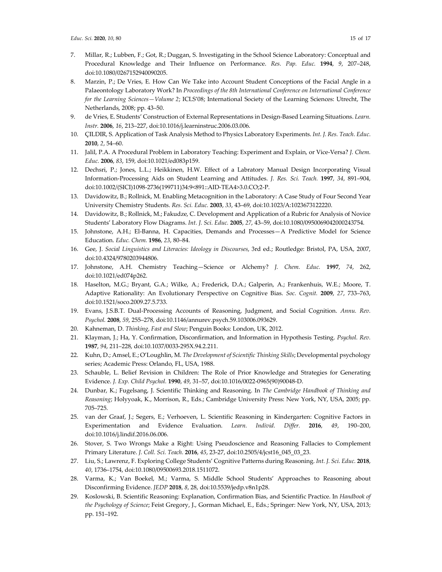- 7. Millar, R.; Lubben, F.; Got, R.; Duggan, S. Investigating in the School Science Laboratory: Conceptual and Procedural Knowledge and Their Influence on Performance. *Res. Pap. Educ.* **1994**, *9*, 207–248, doi:10.1080/0267152940090205.
- 8. Marzin, P.; De Vries, E. How Can We Take into Account Student Conceptions of the Facial Angle in a Palaeontology Laboratory Work? In *Proceedings of the 8th International Conference on International Conference for the Learning Sciences—Volume 2*; ICLS'08; International Society of the Learning Sciences: Utrecht, The Netherlands, 2008; pp. 43–50.
- 9. de Vries, E. Students' Construction of External Representations in Design-Based Learning Situations. *Learn. Instr.* **2006**, *16*, 213–227, doi:10.1016/j.learninstruc.2006.03.006.
- 10. ÇILDIR, S. Application of Task Analysis Method to Physics Laboratory Experiments. *Int. J. Res. Teach. Educ.* **2010**, *2*, 54–60.
- 11. Jalil, P.A. A Procedural Problem in Laboratory Teaching: Experiment and Explain, or Vice-Versa? *J. Chem. Educ.* **2006**, *83*, 159, doi:10.1021/ed083p159.
- 12. Dechsri, P.; Jones, L.L.; Heikkinen, H.W. Effect of a Labratory Manual Design Incorporating Visual Information-Processing Aids on Student Learning and Attitudes. *J. Res. Sci. Teach.* **1997**, *34*, 891–904, doi:10.1002/(SICI)1098-2736(199711)34:9<891::AID-TEA4>3.0.CO;2-P.
- 13. Davidowitz, B.; Rollnick, M. Enabling Metacognition in the Laboratory: A Case Study of Four Second Year University Chemistry Students. *Res. Sci. Educ.* **2003**, *33*, 43–69, doi:10.1023/A:1023673122220.
- 14. Davidowitz, B.; Rollnick, M.; Fakudze, C. Development and Application of a Rubric for Analysis of Novice Students' Laboratory Flow Diagrams. *Int. J. Sci. Educ.* **2005**, *27*, 43–59, doi:10.1080/0950069042000243754.
- 15. Johnstone, A.H.; El-Banna, H. Capacities, Demands and Processes—A Predictive Model for Science Education. *Educ. Chem.* **1986**, *23*, 80–84.
- 16. Gee, J. *Social Linguistics and Literacies: Ideology in Discourses*, 3rd ed.; Routledge: Bristol, PA, USA, 2007, doi:10.4324/9780203944806.
- 17. Johnstone, A.H. Chemistry Teaching—Science or Alchemy? *J. Chem. Educ.* **1997**, *74*, 262, doi:10.1021/ed074p262.
- 18. Haselton, M.G.; Bryant, G.A.; Wilke, A.; Frederick, D.A.; Galperin, A.; Frankenhuis, W.E.; Moore, T. Adaptive Rationality: An Evolutionary Perspective on Cognitive Bias. *Soc. Cognit.* **2009**, *27*, 733–763, doi:10.1521/soco.2009.27.5.733.
- 19. Evans, J.S.B.T. Dual-Processing Accounts of Reasoning, Judgment, and Social Cognition. *Annu. Rev. Psychol.* **2008**, *59*, 255–278, doi:10.1146/annurev.psych.59.103006.093629.
- 20. Kahneman, D. *Thinking, Fast and Slow*; Penguin Books: London, UK, 2012.
- 21. Klayman, J.; Ha, Y. Confirmation, Disconfirmation, and Information in Hypothesis Testing. *Psychol. Rev.*  **1987**, *94*, 211–228, doi:10.1037/0033-295X.94.2.211.
- 22. Kuhn, D.; Amsel, E.; O'Loughlin, M. *The Development of Scientific Thinking Skills*; Developmental psychology series; Academic Press: Orlando, FL, USA, 1988.
- 23. Schauble, L. Belief Revision in Children: The Role of Prior Knowledge and Strategies for Generating Evidence. *J. Exp. Child Psychol.* **1990**, *49*, 31–57, doi:10.1016/0022-0965(90)90048-D.
- 24. Dunbar, K.; Fugelsang, J. Scientific Thinking and Reasoning. In *The Cambridge Handbook of Thinking and Reasoning*; Holyyoak, K., Morrison, R., Eds.; Cambridge University Press: New York, NY, USA, 2005; pp. 705–725.
- 25. van der Graaf, J.; Segers, E.; Verhoeven, L. Scientific Reasoning in Kindergarten: Cognitive Factors in Experimentation and Evidence Evaluation. *Learn. Individ. Differ.* **2016**, *49*, 190–200, doi:10.1016/j.lindif.2016.06.006.
- 26. Stover, S. Two Wrongs Make a Right: Using Pseudoscience and Reasoning Fallacies to Complement Primary Literature. *J. Coll. Sci. Teach.* **2016**, *45*, 23-27, doi:10.2505/4/jcst16\_045\_03\_23.
- 27. Liu, S.; Lawrenz, F. Exploring College Students' Cognitive Patterns during Reasoning. *Int. J. Sci. Educ.* **2018**, *40*, 1736–1754, doi:10.1080/09500693.2018.1511072.
- 28. Varma, K.; Van Boekel, M.; Varma, S. Middle School Students' Approaches to Reasoning about Disconfirming Evidence. *JEDP* **2018**, *8*, 28, doi:10.5539/jedp.v8n1p28.
- 29. Koslowski, B. Scientific Reasoning: Explanation, Confirmation Bias, and Scientific Practice. In *Handbook of the Psychology of Science*; Feist Gregory, J., Gorman Michael, E., Eds.; Springer: New York, NY, USA, 2013; pp. 151–192.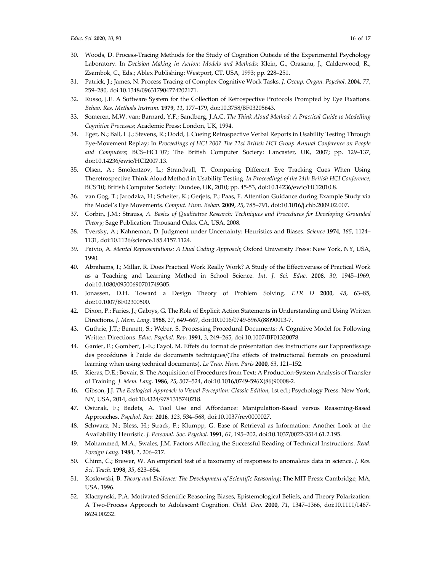- 30. Woods, D. Process-Tracing Methods for the Study of Cognition Outside of the Experimental Psychology Laboratory. In *Decision Making in Action: Models and Methods*; Klein, G., Orasanu, J., Calderwood, R., Zsambok, C., Eds.; Ablex Publishing: Westport, CT, USA, 1993; pp. 228–251.
- 31. Patrick, J.; James, N. Process Tracing of Complex Cognitive Work Tasks. *J. Occup. Organ. Psychol.* **2004**, *77*, 259–280, doi:10.1348/096317904774202171.
- 32. Russo, J.E. A Software System for the Collection of Retrospective Protocols Prompted by Eye Fixations. *Behav. Res. Methods Instrum.* **1979**, *11*, 177–179, doi:10.3758/BF03205643.
- 33. Someren, M.W. van; Barnard, Y.F.; Sandberg, J.A.C. *The Think Aloud Method: A Practical Guide to Modelling Cognitive Processes*; Academic Press: London, UK, 1994.
- 34. Eger, N.; Ball, L.J.; Stevens, R.; Dodd, J. Cueing Retrospective Verbal Reports in Usability Testing Through Eye-Movement Replay; In *Proceedings of HCI 2007 The 21st British HCI Group Annual Conference on People and Computers*; BCS–HCL'07; The British Computer Sociery: Lancaster, UK, 2007; pp. 129–137, doi:10.14236/ewic/HCI2007.13.
- 35. Olsen, A.; Smolentzov, L.; Strandvall, T. Comparing Different Eye Tracking Cues When Using Theretrospective Think Aloud Method in Usability Testing. *In Proceedings of the 24th British HCI Conference*; BCS'10; British Computer Society: Dundee, UK, 2010; pp. 45-53, doi:10.14236/ewic/HCI2010.8.
- 36. van Gog, T.; Jarodzka, H.; Scheiter, K.; Gerjets, P.; Paas, F. Attention Guidance during Example Study via the Model's Eye Movements. *Comput. Hum. Behav.* **2009**, *25*, 785–791, doi:10.1016/j.chb.2009.02.007.
- 37. Corbin, J.M.; Strauss, *A. Basics of Qualitative Research: Techniques and Procedures for Developing Grounded Theory*; Sage Publication: Thousand Oaks, CA, USA, 2008.
- 38. Tversky, A.; Kahneman, D. Judgment under Uncertainty: Heuristics and Biases. *Science* **1974**, *185*, 1124– 1131, doi:10.1126/science.185.4157.1124.
- 39. Paivio, A. *Mental Representations: A Dual Coding Approach*; Oxford University Press: New York, NY, USA, 1990.
- 40. Abrahams, I.; Millar, R. Does Practical Work Really Work? A Study of the Effectiveness of Practical Work as a Teaching and Learning Method in School Science. *Int. J. Sci. Educ.* **2008**, *30*, 1945–1969, doi:10.1080/09500690701749305.
- 41. Jonassen, D.H. Toward a Design Theory of Problem Solving. *ETR D* **2000**, *48*, 63–85, doi:10.1007/BF02300500.
- 42. Dixon, P.; Faries, J.; Gabrys, G. The Role of Explicit Action Statements in Understanding and Using Written Directions. *J. Mem. Lang.* **1988**, *27*, 649–667, doi:10.1016/0749-596X(88)90013-7.
- 43. Guthrie, J.T.; Bennett, S.; Weber, S. Processing Procedural Documents: A Cognitive Model for Following Written Directions. *Educ. Psychol. Rev.* **1991**, *3*, 249–265, doi:10.1007/BF01320078.
- 44. Ganier, F.; Gombert, J.-E.; Fayol, M. Effets du format de présentation des instructions sur l'apprentissage des procédures à l'aide de documents techniques/(The effects of instructional formats on procedural learning when using technical documents). *Le Trav. Hum. Paris* **2000**, *63*, 121–152.
- 45. Kieras, D.E.; Bovair, S. The Acquisition of Procedures from Text: A Production-System Analysis of Transfer of Training. *J. Mem. Lang.* **1986**, *25*, 507–524, doi:10.1016/0749-596X(86)90008-2.
- 46. Gibson, J.J. *The Ecological Approach to Visual Perception: Classic Edition*, 1st ed.; Psychology Press: New York, NY, USA, 2014, doi:10.4324/9781315740218.
- 47. Osiurak, F.; Badets, A. Tool Use and Affordance: Manipulation-Based versus Reasoning-Based Approaches. *Psychol. Rev.* **2016**, *123*, 534–568, doi:10.1037/rev0000027.
- 48. Schwarz, N.; Bless, H.; Strack, F.; Klumpp, G. Ease of Retrieval as Information: Another Look at the Availability Heuristic. *J. Personal. Soc. Psychol.* **1991**, *61*, 195–202, doi:10.1037/0022-3514.61.2.195.
- 49. Mohammed, M.A.; Swales, J.M. Factors Affecting the Successful Reading of Technical Instructions. *Read. Foreign Lang.* **1984**, *2*, 206–217.
- 50. Chinn, C.; Brewer, W. An empirical test of a taxonomy of responses to anomalous data in science. *J. Res. Sci. Teach.* **1998**, *35*, 623–654.
- 51. Koslowski, B. *Theory and Evidence: The Development of Scientific Reasoning*; The MIT Press: Cambridge, MA, USA, 1996.
- 52. Klaczynski, P.A. Motivated Scientific Reasoning Biases, Epistemological Beliefs, and Theory Polarization: A Two-Process Approach to Adolescent Cognition. *Child. Dev.* **2000**, *71*, 1347–1366, doi:10.1111/1467- 8624.00232.